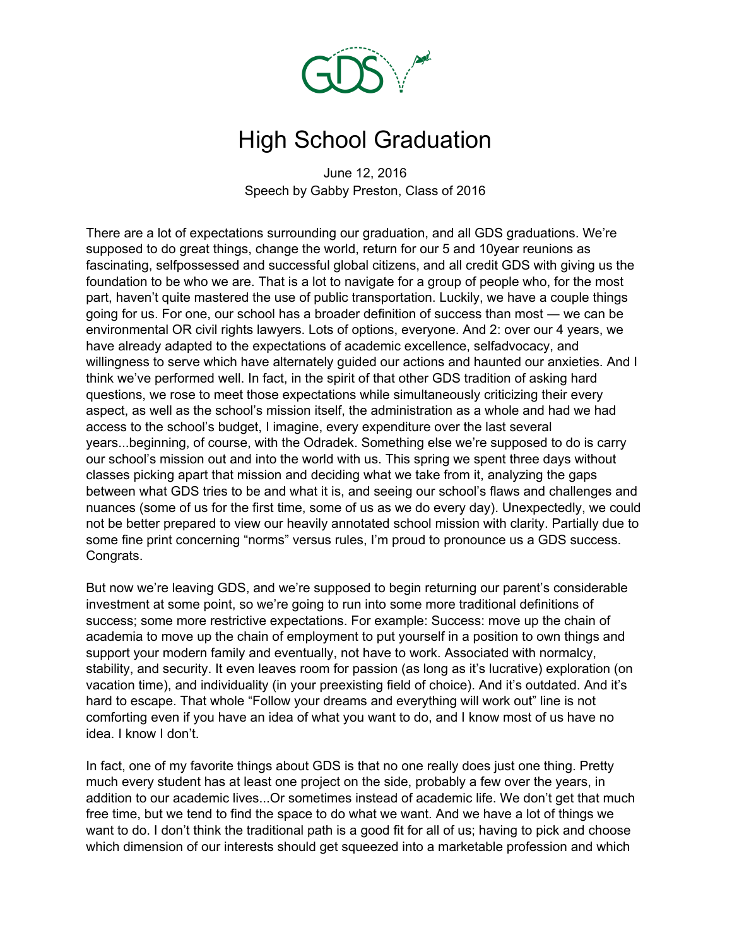

## High School Graduation

June 12, 2016 Speech by Gabby Preston, Class of 2016

There are a lot of expectations surrounding our graduation, and all GDS graduations. We're supposed to do great things, change the world, return for our 5 and 10year reunions as fascinating, selfpossessed and successful global citizens, and all credit GDS with giving us the foundation to be who we are. That is a lot to navigate for a group of people who, for the most part, haven't quite mastered the use of public transportation. Luckily, we have a couple things going for us. For one, our school has a broader definition of success than most ― we can be environmental OR civil rights lawyers. Lots of options, everyone. And 2: over our 4 years, we have already adapted to the expectations of academic excellence, selfadvocacy, and willingness to serve which have alternately guided our actions and haunted our anxieties. And I think we've performed well. In fact, in the spirit of that other GDS tradition of asking hard questions, we rose to meet those expectations while simultaneously criticizing their every aspect, as well as the school's mission itself, the administration as a whole and had we had access to the school's budget, I imagine, every expenditure over the last several years...beginning, of course, with the Odradek. Something else we're supposed to do is carry our school's mission out and into the world with us. This spring we spent three days without classes picking apart that mission and deciding what we take from it, analyzing the gaps between what GDS tries to be and what it is, and seeing our school's flaws and challenges and nuances (some of us for the first time, some of us as we do every day). Unexpectedly, we could not be better prepared to view our heavily annotated school mission with clarity. Partially due to some fine print concerning "norms" versus rules, I'm proud to pronounce us a GDS success. Congrats.

But now we're leaving GDS, and we're supposed to begin returning our parent's considerable investment at some point, so we're going to run into some more traditional definitions of success; some more restrictive expectations. For example: Success: move up the chain of academia to move up the chain of employment to put yourself in a position to own things and support your modern family and eventually, not have to work. Associated with normalcy, stability, and security. It even leaves room for passion (as long as it's lucrative) exploration (on vacation time), and individuality (in your preexisting field of choice). And it's outdated. And it's hard to escape. That whole "Follow your dreams and everything will work out" line is not comforting even if you have an idea of what you want to do, and I know most of us have no idea. I know I don't.

In fact, one of my favorite things about GDS is that no one really does just one thing. Pretty much every student has at least one project on the side, probably a few over the years, in addition to our academic lives...Or sometimes instead of academic life. We don't get that much free time, but we tend to find the space to do what we want. And we have a lot of things we want to do. I don't think the traditional path is a good fit for all of us; having to pick and choose which dimension of our interests should get squeezed into a marketable profession and which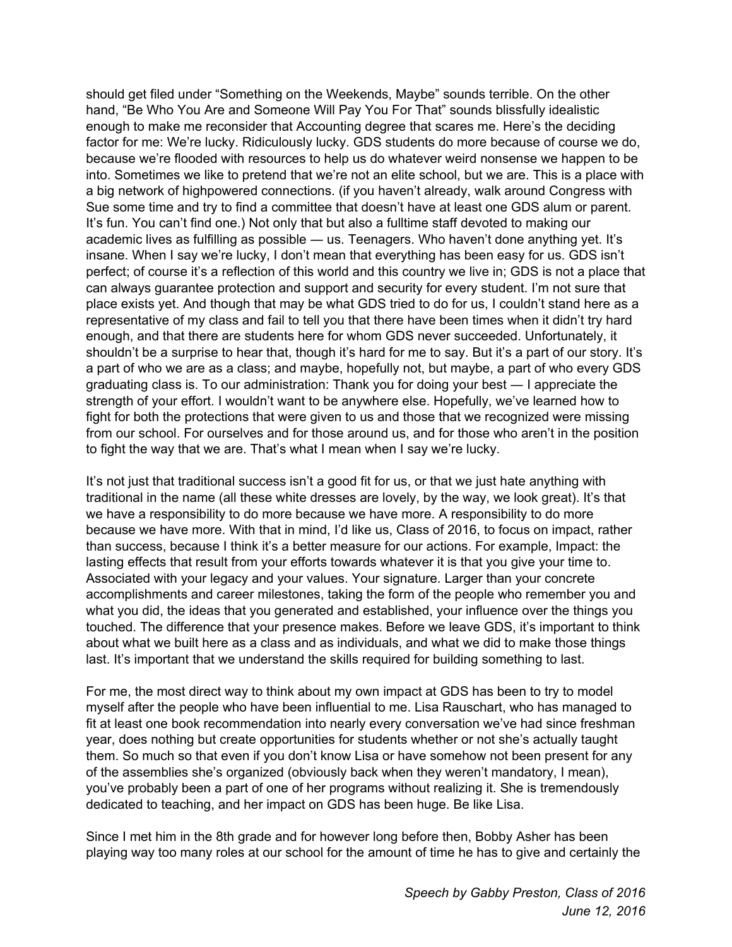should get filed under "Something on the Weekends, Maybe" sounds terrible. On the other hand, "Be Who You Are and Someone Will Pay You For That" sounds blissfully idealistic enough to make me reconsider that Accounting degree that scares me. Here's the deciding factor for me: We're lucky. Ridiculously lucky. GDS students do more because of course we do, because we're flooded with resources to help us do whatever weird nonsense we happen to be into. Sometimes we like to pretend that we're not an elite school, but we are. This is a place with a big network of highpowered connections. (if you haven't already, walk around Congress with Sue some time and try to find a committee that doesn't have at least one GDS alum or parent. It's fun. You can't find one.) Not only that but also a fulltime staff devoted to making our academic lives as fulfilling as possible — us. Teenagers. Who haven't done anything yet. It's insane. When I say we're lucky, I don't mean that everything has been easy for us. GDS isn't perfect; of course it's a reflection of this world and this country we live in; GDS is not a place that can always guarantee protection and support and security for every student. I'm not sure that place exists yet. And though that may be what GDS tried to do for us, I couldn't stand here as a representative of my class and fail to tell you that there have been times when it didn't try hard enough, and that there are students here for whom GDS never succeeded. Unfortunately, it shouldn't be a surprise to hear that, though it's hard for me to say. But it's a part of our story. It's a part of who we are as a class; and maybe, hopefully not, but maybe, a part of who every GDS graduating class is. To our administration: Thank you for doing your best ― I appreciate the strength of your effort. I wouldn't want to be anywhere else. Hopefully, we've learned how to fight for both the protections that were given to us and those that we recognized were missing from our school. For ourselves and for those around us, and for those who aren't in the position to fight the way that we are. That's what I mean when I say we're lucky.

It's not just that traditional success isn't a good fit for us, or that we just hate anything with traditional in the name (all these white dresses are lovely, by the way, we look great). It's that we have a responsibility to do more because we have more. A responsibility to do more because we have more. With that in mind, I'd like us, Class of 2016, to focus on impact, rather than success, because I think it's a better measure for our actions. For example, Impact: the lasting effects that result from your efforts towards whatever it is that you give your time to. Associated with your legacy and your values. Your signature. Larger than your concrete accomplishments and career milestones, taking the form of the people who remember you and what you did, the ideas that you generated and established, your influence over the things you touched. The difference that your presence makes. Before we leave GDS, it's important to think about what we built here as a class and as individuals, and what we did to make those things last. It's important that we understand the skills required for building something to last.

For me, the most direct way to think about my own impact at GDS has been to try to model myself after the people who have been influential to me. Lisa Rauschart, who has managed to fit at least one book recommendation into nearly every conversation we've had since freshman year, does nothing but create opportunities for students whether or not she's actually taught them. So much so that even if you don't know Lisa or have somehow not been present for any of the assemblies she's organized (obviously back when they weren't mandatory, I mean), you've probably been a part of one of her programs without realizing it. She is tremendously dedicated to teaching, and her impact on GDS has been huge. Be like Lisa.

Since I met him in the 8th grade and for however long before then, Bobby Asher has been playing way too many roles at our school for the amount of time he has to give and certainly the